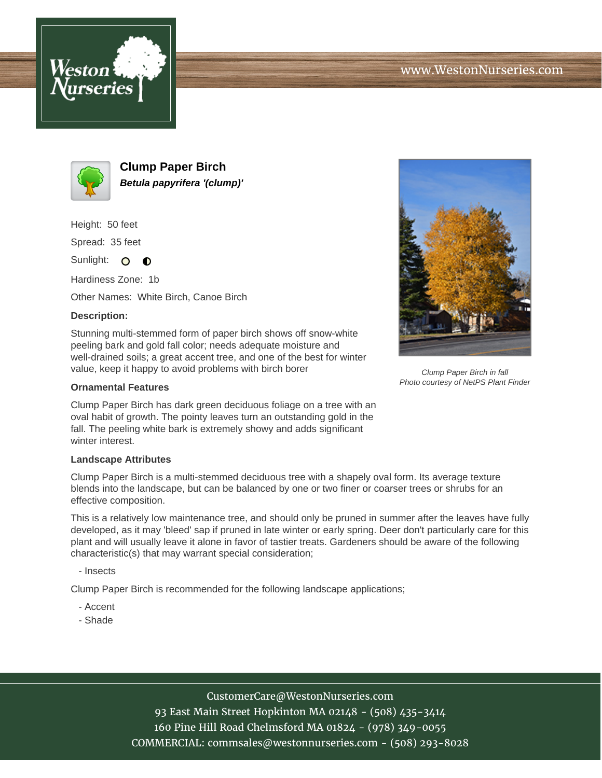



**Clump Paper Birch Betula papyrifera '(clump)'**

Height: 50 feet

Spread: 35 feet

Sunlight: O **O** 

Hardiness Zone: 1b

Other Names: White Birch, Canoe Birch

## **Description:**

Stunning multi-stemmed form of paper birch shows off snow-white peeling bark and gold fall color; needs adequate moisture and well-drained soils; a great accent tree, and one of the best for winter value, keep it happy to avoid problems with birch borer

## **Ornamental Features**

Clump Paper Birch has dark green deciduous foliage on a tree with an oval habit of growth. The pointy leaves turn an outstanding gold in the fall. The peeling white bark is extremely showy and adds significant winter interest.

## **Landscape Attributes**

Clump Paper Birch is a multi-stemmed deciduous tree with a shapely oval form. Its average texture blends into the landscape, but can be balanced by one or two finer or coarser trees or shrubs for an effective composition.

This is a relatively low maintenance tree, and should only be pruned in summer after the leaves have fully developed, as it may 'bleed' sap if pruned in late winter or early spring. Deer don't particularly care for this plant and will usually leave it alone in favor of tastier treats. Gardeners should be aware of the following characteristic(s) that may warrant special consideration;

- Insects

Clump Paper Birch is recommended for the following landscape applications;

- Accent
- Shade



Clump Paper Birch in fall Photo courtesy of NetPS Plant Finder

CustomerCare@WestonNurseries.com

93 East Main Street Hopkinton MA 02148 - (508) 435-3414 160 Pine Hill Road Chelmsford MA 01824 - (978) 349-0055 COMMERCIAL: commsales@westonnurseries.com - (508) 293-8028